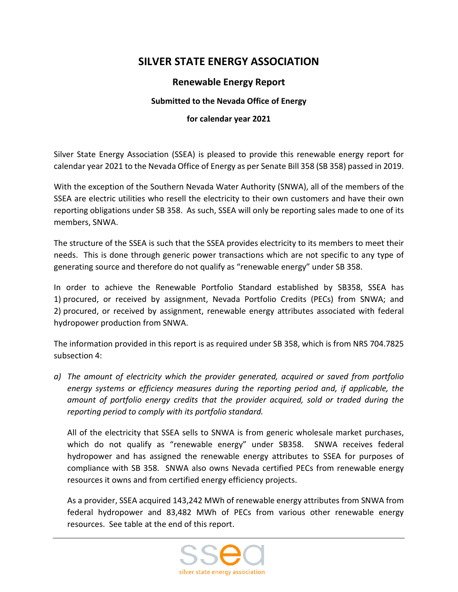## **SILVER STATE ENERGY ASSOCIATION**

## **Renewable Energy Report**

## **Submitted to the Nevada Office of Energy**

## **for calendar year 2021**

Silver State Energy Association (SSEA) is pleased to provide this renewable energy report for calendar year 2021 to the Nevada Office of Energy as per Senate Bill 358 (SB 358) passed in 2019.

With the exception of the Southern Nevada Water Authority (SNWA), all of the members of the SSEA are electric utilities who resell the electricity to their own customers and have their own reporting obligations under SB 358. As such, SSEA will only be reporting sales made to one of its members, SNWA.

The structure of the SSEA is such that the SSEA provides electricity to its members to meet their needs. This is done through generic power transactions which are not specific to any type of generating source and therefore do not qualify as "renewable energy" under SB 358.

In order to achieve the Renewable Portfolio Standard established by SB358, SSEA has 1) procured, or received by assignment, Nevada Portfolio Credits (PECs) from SNWA; and 2) procured, or received by assignment, renewable energy attributes associated with federal hydropower production from SNWA.

The information provided in this report is as required under SB 358, which is from NRS 704.7825 subsection 4:

*a) The amount of electricity which the provider generated, acquired or saved from portfolio energy systems or efficiency measures during the reporting period and, if applicable, the amount of portfolio energy credits that the provider acquired, sold or traded during the reporting period to comply with its portfolio standard.*

All of the electricity that SSEA sells to SNWA is from generic wholesale market purchases, which do not qualify as "renewable energy" under SB358. SNWA receives federal hydropower and has assigned the renewable energy attributes to SSEA for purposes of compliance with SB 358. SNWA also owns Nevada certified PECs from renewable energy resources it owns and from certified energy efficiency projects.

As a provider, SSEA acquired 143,242 MWh of renewable energy attributes from SNWA from federal hydropower and 83,482 MWh of PECs from various other renewable energy resources. See table at the end of this report.

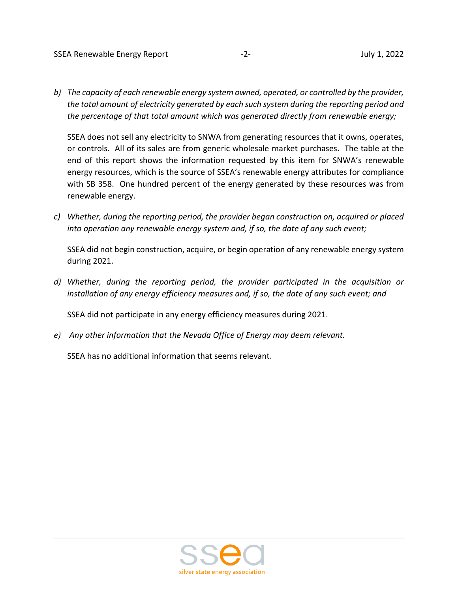*b) The capacity of each renewable energy system owned, operated, or controlled by the provider, the total amount of electricity generated by each such system during the reporting period and the percentage of that total amount which was generated directly from renewable energy;*

SSEA does not sell any electricity to SNWA from generating resources that it owns, operates, or controls. All of its sales are from generic wholesale market purchases. The table at the end of this report shows the information requested by this item for SNWA's renewable energy resources, which is the source of SSEA's renewable energy attributes for compliance with SB 358. One hundred percent of the energy generated by these resources was from renewable energy.

*c) Whether, during the reporting period, the provider began construction on, acquired or placed into operation any renewable energy system and, if so, the date of any such event;*

SSEA did not begin construction, acquire, or begin operation of any renewable energy system during 2021.

*d) Whether, during the reporting period, the provider participated in the acquisition or installation of any energy efficiency measures and, if so, the date of any such event; and*

SSEA did not participate in any energy efficiency measures during 2021.

*e) Any other information that the Nevada Office of Energy may deem relevant.*

SSEA has no additional information that seems relevant.